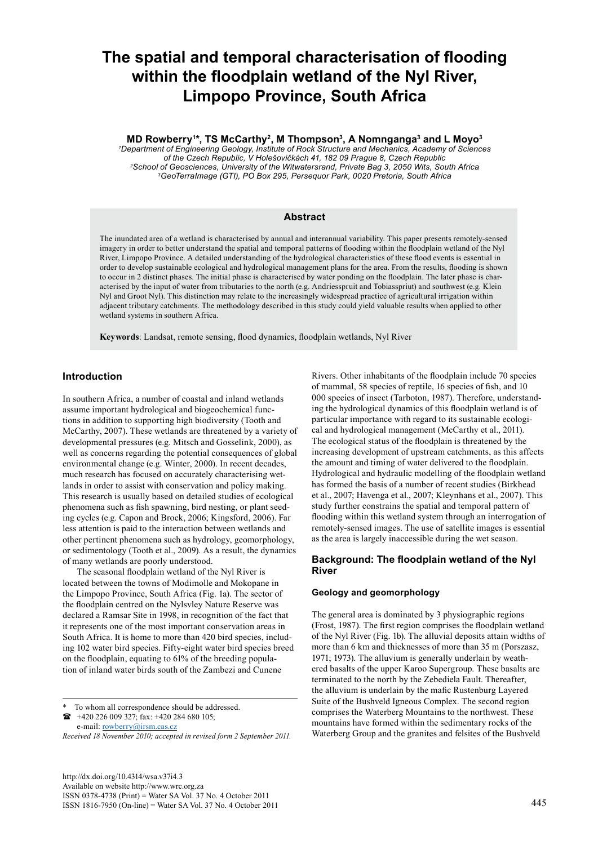# **The spatial and temporal characterisation of flooding within the floodplain wetland of the Nyl River, Limpopo Province, South Africa**

**MD Rowberry<sup>1</sup> \*, TS McCarthy<sup>2</sup>, M Thompson<sup>3</sup>, A Nomnganga<sup>3</sup> and L Moyo<sup>3</sup>**

*1 Department of Engineering Geology, Institute of Rock Structure and Mechanics, Academy of Sciences of the Czech Republic, V Holešovičkách 41, 182 09 Prague 8, Czech Republic 2 School of Geosciences, University of the Witwatersrand, Private Bag 3, 2050 Wits, South Africa 3GeoTerraImage (GTI), PO Box 295, Persequor Park, 0020 Pretoria, South Africa* 

## **Abstract**

The inundated area of a wetland is characterised by annual and interannual variability. This paper presents remotely-sensed imagery in order to better understand the spatial and temporal patterns of flooding within the floodplain wetland of the Nyl River, Limpopo Province. A detailed understanding of the hydrological characteristics of these flood events is essential in order to develop sustainable ecological and hydrological management plans for the area. From the results, flooding is shown to occur in 2 distinct phases. The initial phase is characterised by water ponding on the floodplain. The later phase is characterised by the input of water from tributaries to the north (e.g. Andriesspruit and Tobiasspriut) and southwest (e.g. Klein Nyl and Groot Nyl). This distinction may relate to the increasingly widespread practice of agricultural irrigation within adjacent tributary catchments. The methodology described in this study could yield valuable results when applied to other wetland systems in southern Africa.

**Keywords**: Landsat, remote sensing, flood dynamics, floodplain wetlands, Nyl River

### **Introduction**

In southern Africa, a number of coastal and inland wetlands assume important hydrological and biogeochemical functions in addition to supporting high biodiversity (Tooth and McCarthy, 2007). These wetlands are threatened by a variety of developmental pressures (e.g. Mitsch and Gosselink, 2000), as well as concerns regarding the potential consequences of global environmental change (e.g. Winter, 2000). In recent decades, much research has focused on accurately characterising wetlands in order to assist with conservation and policy making. This research is usually based on detailed studies of ecological phenomena such as fish spawning, bird nesting, or plant seeding cycles (e.g. Capon and Brock, 2006; Kingsford, 2006). Far less attention is paid to the interaction between wetlands and other pertinent phenomena such as hydrology, geomorphology, or sedimentology (Tooth et al., 2009). As a result, the dynamics of many wetlands are poorly understood.

The seasonal floodplain wetland of the Nyl River is located between the towns of Modimolle and Mokopane in the Limpopo Province, South Africa (Fig. 1a). The sector of the floodplain centred on the Nylsvley Nature Reserve was declared a Ramsar Site in 1998, in recognition of the fact that it represents one of the most important conservation areas in South Africa. It is home to more than 420 bird species, including 102 water bird species. Fifty-eight water bird species breed on the floodplain, equating to 61% of the breeding population of inland water birds south of the Zambezi and Cunene

To whom all correspondence should be addressed.

 +420 226 009 327; fax: +420 284 680 105; e-mail: [rowberry@irsm.cas.cz](mailto:rowberry@irsm.cas.cz)

<http://dx.doi.org/10.4314/wsa.v37i4.3> Available on website http://www.wrc.org.za ISSN 0378-4738 (Print) = Water SA Vol. 37 No. 4 October 2011 ISSN 1816-7950 (On-line) = Water SA Vol. 37 No. 4 October 2011 445

Rivers. Other inhabitants of the floodplain include 70 species of mammal, 58 species of reptile, 16 species of fish, and 10 000 species of insect (Tarboton, 1987). Therefore, understanding the hydrological dynamics of this floodplain wetland is of particular importance with regard to its sustainable ecological and hydrological management (McCarthy et al., 2011). The ecological status of the floodplain is threatened by the increasing development of upstream catchments, as this affects the amount and timing of water delivered to the floodplain. Hydrological and hydraulic modelling of the floodplain wetland has formed the basis of a number of recent studies (Birkhead et al., 2007; Havenga et al., 2007; Kleynhans et al., 2007). This study further constrains the spatial and temporal pattern of flooding within this wetland system through an interrogation of remotely-sensed images. The use of satellite images is essential as the area is largely inaccessible during the wet season.

## **Background: The floodplain wetland of the Nyl River**

#### **Geology and geomorphology**

The general area is dominated by 3 physiographic regions (Frost, 1987). The first region comprises the floodplain wetland of the Nyl River (Fig. 1b). The alluvial deposits attain widths of more than 6 km and thicknesses of more than 35 m (Porszasz, 1971; 1973). The alluvium is generally underlain by weathered basalts of the upper Karoo Supergroup. These basalts are terminated to the north by the Zebediela Fault. Thereafter, the alluvium is underlain by the mafic Rustenburg Layered Suite of the Bushveld Igneous Complex. The second region comprises the Waterberg Mountains to the northwest. These mountains have formed within the sedimentary rocks of the Waterberg Group and the granites and felsites of the Bushveld

*Received 18 November 2010; accepted in revised form 2 September 2011.*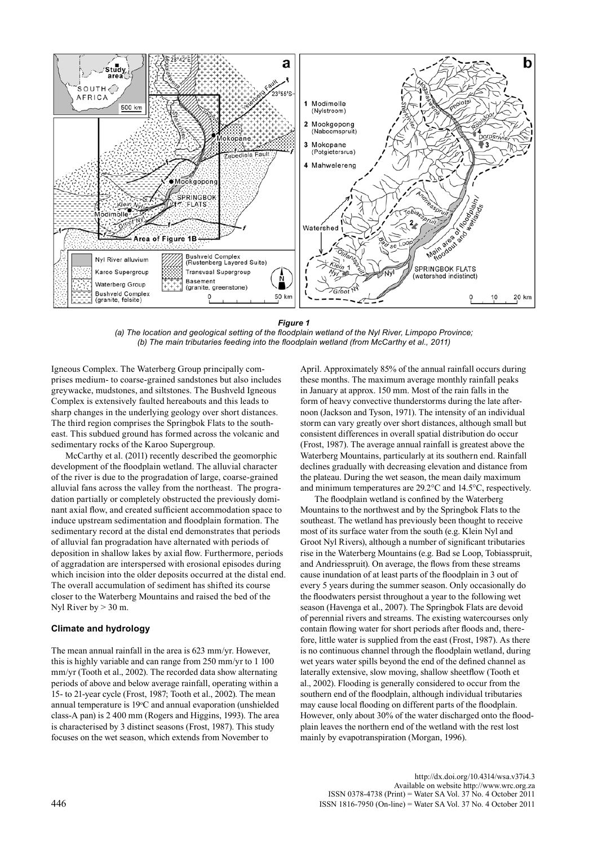

*Figure 1*

*(a) The location and geological setting of the floodplain wetland of the Nyl River, Limpopo Province; (b) The main tributaries feeding into the floodplain wetland (from McCarthy et al., 2011)*

Igneous Complex. The Waterberg Group principally comprises medium- to coarse-grained sandstones but also includes greywacke, mudstones, and siltstones. The Bushveld Igneous Complex is extensively faulted hereabouts and this leads to sharp changes in the underlying geology over short distances. The third region comprises the Springbok Flats to the southeast. This subdued ground has formed across the volcanic and sedimentary rocks of the Karoo Supergroup.

McCarthy et al. (2011) recently described the geomorphic development of the floodplain wetland. The alluvial character of the river is due to the progradation of large, coarse-grained alluvial fans across the valley from the northeast. The progradation partially or completely obstructed the previously dominant axial flow, and created sufficient accommodation space to induce upstream sedimentation and floodplain formation. The sedimentary record at the distal end demonstrates that periods of alluvial fan progradation have alternated with periods of deposition in shallow lakes by axial flow. Furthermore, periods of aggradation are interspersed with erosional episodes during which incision into the older deposits occurred at the distal end. The overall accumulation of sediment has shifted its course closer to the Waterberg Mountains and raised the bed of the Nyl River by > 30 m.

#### **Climate and hydrology**

The mean annual rainfall in the area is 623 mm/yr. However, this is highly variable and can range from 250 mm/yr to 1 100 mm/yr (Tooth et al., 2002). The recorded data show alternating periods of above and below average rainfall, operating within a 15- to 21-year cycle (Frost, 1987; Tooth et al., 2002). The mean annual temperature is 19°C and annual evaporation (unshielded class-A pan) is 2 400 mm (Rogers and Higgins, 1993). The area is characterised by 3 distinct seasons (Frost, 1987). This study focuses on the wet season, which extends from November to

April. Approximately 85% of the annual rainfall occurs during these months. The maximum average monthly rainfall peaks in January at approx. 150 mm. Most of the rain falls in the form of heavy convective thunderstorms during the late afternoon (Jackson and Tyson, 1971). The intensity of an individual storm can vary greatly over short distances, although small but consistent differences in overall spatial distribution do occur (Frost, 1987). The average annual rainfall is greatest above the Waterberg Mountains, particularly at its southern end. Rainfall declines gradually with decreasing elevation and distance from the plateau. During the wet season, the mean daily maximum and minimum temperatures are 29.2°C and 14.5°C, respectively.

The floodplain wetland is confined by the Waterberg Mountains to the northwest and by the Springbok Flats to the southeast. The wetland has previously been thought to receive most of its surface water from the south (e.g. Klein Nyl and Groot Nyl Rivers), although a number of significant tributaries rise in the Waterberg Mountains (e.g. Bad se Loop, Tobiasspruit, and Andriesspruit). On average, the flows from these streams cause inundation of at least parts of the floodplain in 3 out of every 5 years during the summer season. Only occasionally do the floodwaters persist throughout a year to the following wet season (Havenga et al., 2007). The Springbok Flats are devoid of perennial rivers and streams. The existing watercourses only contain flowing water for short periods after floods and, therefore, little water is supplied from the east (Frost, 1987). As there is no continuous channel through the floodplain wetland, during wet years water spills beyond the end of the defined channel as laterally extensive, slow moving, shallow sheetflow (Tooth et al., 2002). Flooding is generally considered to occur from the southern end of the floodplain, although individual tributaries may cause local flooding on different parts of the floodplain. However, only about 30% of the water discharged onto the floodplain leaves the northern end of the wetland with the rest lost mainly by evapotranspiration (Morgan, 1996).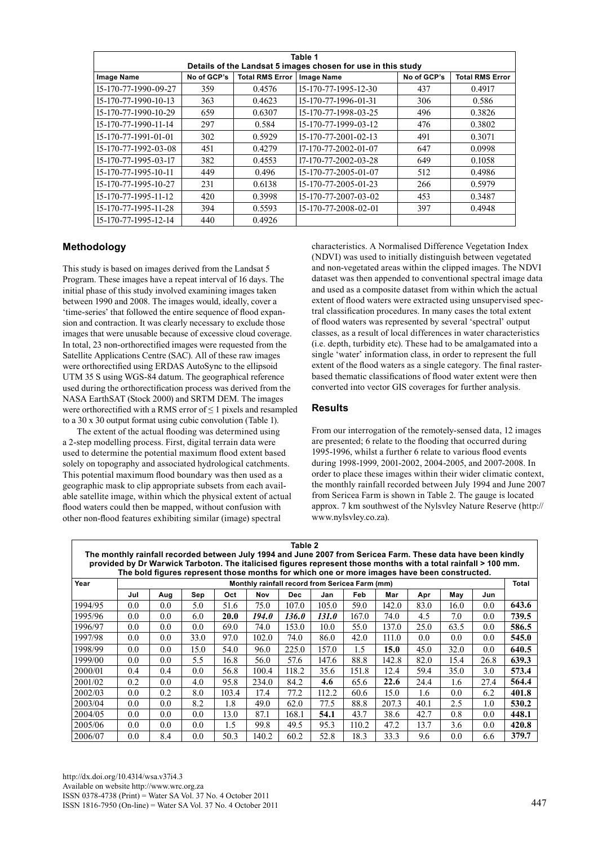| Table 1                                                      |             |                        |                      |             |                        |  |  |  |  |
|--------------------------------------------------------------|-------------|------------------------|----------------------|-------------|------------------------|--|--|--|--|
| Details of the Landsat 5 images chosen for use in this study |             |                        |                      |             |                        |  |  |  |  |
| <b>Image Name</b>                                            | No of GCP's | <b>Total RMS Error</b> | <b>Image Name</b>    | No of GCP's | <b>Total RMS Error</b> |  |  |  |  |
| 15-170-77-1990-09-27                                         | 359         | 0.4576                 | 15-170-77-1995-12-30 | 437         | 0.4917                 |  |  |  |  |
| 15-170-77-1990-10-13                                         | 363         | 0.4623                 | 15-170-77-1996-01-31 | 306         | 0.586                  |  |  |  |  |
| 15-170-77-1990-10-29                                         | 659         | 0.6307                 | 15-170-77-1998-03-25 | 496         | 0.3826                 |  |  |  |  |
| 15-170-77-1990-11-14                                         | 297         | 0.584                  | 15-170-77-1999-03-12 | 476         | 0.3802                 |  |  |  |  |
| 15-170-77-1991-01-01                                         | 302         | 0.5929                 | 15-170-77-2001-02-13 | 491         | 0.3071                 |  |  |  |  |
| 15-170-77-1992-03-08                                         | 451         | 0.4279                 | 17-170-77-2002-01-07 | 647         | 0.0998                 |  |  |  |  |
| 15-170-77-1995-03-17                                         | 382         | 0.4553                 | 17-170-77-2002-03-28 | 649         | 0.1058                 |  |  |  |  |
| 15-170-77-1995-10-11                                         | 449         | 0.496                  | 15-170-77-2005-01-07 | 512         | 0.4986                 |  |  |  |  |
| 15-170-77-1995-10-27                                         | 231         | 0.6138                 | 15-170-77-2005-01-23 | 266         | 0.5979                 |  |  |  |  |
| 15-170-77-1995-11-12                                         | 420         | 0.3998                 | 15-170-77-2007-03-02 | 453         | 0.3487                 |  |  |  |  |
| 15-170-77-1995-11-28                                         | 394         | 0.5593                 | 15-170-77-2008-02-01 | 397         | 0.4948                 |  |  |  |  |
| 15-170-77-1995-12-14                                         | 440         | 0.4926                 |                      |             |                        |  |  |  |  |

## **Methodology**

This study is based on images derived from the Landsat 5 Program. These images have a repeat interval of 16 days. The initial phase of this study involved examining images taken between 1990 and 2008. The images would, ideally, cover a 'time-series' that followed the entire sequence of flood expansion and contraction. It was clearly necessary to exclude those images that were unusable because of excessive cloud coverage. In total, 23 non-orthorectified images were requested from the Satellite Applications Centre (SAC). All of these raw images were orthorectified using ERDAS AutoSync to the ellipsoid UTM 35 S using WGS-84 datum. The geographical reference used during the orthorectification process was derived from the NASA EarthSAT (Stock 2000) and SRTM DEM. The images were orthorectified with a RMS error of ≤ 1 pixels and resampled to a 30 x 30 output format using cubic convolution (Table 1).

The extent of the actual flooding was determined using a 2-step modelling process. First, digital terrain data were used to determine the potential maximum flood extent based solely on topography and associated hydrological catchments. This potential maximum flood boundary was then used as a geographic mask to clip appropriate subsets from each available satellite image, within which the physical extent of actual flood waters could then be mapped, without confusion with other non-flood features exhibiting similar (image) spectral

characteristics. A Normalised Difference Vegetation Index (NDVI) was used to initially distinguish between vegetated and non-vegetated areas within the clipped images. The NDVI dataset was then appended to conventional spectral image data and used as a composite dataset from within which the actual extent of flood waters were extracted using unsupervised spectral classification procedures. In many cases the total extent of flood waters was represented by several 'spectral' output classes, as a result of local differences in water characteristics (i.e. depth, turbidity etc). These had to be amalgamated into a single 'water' information class, in order to represent the full extent of the flood waters as a single category. The final rasterbased thematic classifications of flood water extent were then converted into vector GIS coverages for further analysis.

## **Results**

From our interrogation of the remotely-sensed data, 12 images are presented; 6 relate to the flooding that occurred during 1995-1996, whilst a further 6 relate to various flood events during 1998-1999, 2001-2002, 2004-2005, and 2007-2008. In order to place these images within their wider climatic context, the monthly rainfall recorded between July 1994 and June 2007 from Sericea Farm is shown in Table 2. The gauge is located approx. 7 km southwest of the Nylsvley Nature Reserve (http:// www.nylsvley.co.za).

| Table 2                                                                                                        |                                                |     |      |       |       |              |       |       |       |      |       |      |       |
|----------------------------------------------------------------------------------------------------------------|------------------------------------------------|-----|------|-------|-------|--------------|-------|-------|-------|------|-------|------|-------|
| The monthly rainfall recorded between July 1994 and June 2007 from Sericea Farm. These data have been kindly   |                                                |     |      |       |       |              |       |       |       |      |       |      |       |
| provided by Dr Warwick Tarboton. The italicised figures represent those months with a total rainfall > 100 mm. |                                                |     |      |       |       |              |       |       |       |      |       |      |       |
| The bold figures represent those months for which one or more images have been constructed.                    |                                                |     |      |       |       |              |       |       |       |      |       |      |       |
| Year                                                                                                           | Monthly rainfall record from Sericea Farm (mm) |     |      |       |       |              |       |       |       |      | Total |      |       |
|                                                                                                                | Jul                                            | Aug | Sep  | Oct   | Nov   | <b>Dec</b>   | Jan   | Feb   | Mar   | Apr  | May   | Jun  |       |
| 1994/95                                                                                                        | 0.0                                            | 0.0 | 5.0  | 51.6  | 75.0  | 107.0        | 105.0 | 59.0  | 142.0 | 83.0 | 16.0  | 0.0  | 643.6 |
| 1995/96                                                                                                        | 0.0                                            | 0.0 | 6.0  | 20.0  | 194.0 | <b>136.0</b> | 131.0 | 167.0 | 74.0  | 4.5  | 7.0   | 0.0  | 739.5 |
| 1996/97                                                                                                        | 0.0                                            | 0.0 | 0.0  | 69.0  | 74.0  | 153.0        | 10.0  | 55.0  | 137.0 | 25.0 | 63.5  | 0.0  | 586.5 |
| 1997/98                                                                                                        | 0.0                                            | 0.0 | 33.0 | 97.0  | 102.0 | 74.0         | 86.0  | 42.0  | 111.0 | 0.0  | 0.0   | 0.0  | 545.0 |
| 1998/99                                                                                                        | 0.0                                            | 0.0 | 15.0 | 54.0  | 96.0  | 225.0        | 157.0 | 1.5   | 15.0  | 45.0 | 32.0  | 0.0  | 640.5 |
| 1999/00                                                                                                        | 0.0                                            | 0.0 | 5.5  | 16.8  | 56.0  | 57.6         | 147.6 | 88.8  | 142.8 | 82.0 | 15.4  | 26.8 | 639.3 |
| 2000/01                                                                                                        | 0.4                                            | 0.4 | 0.0  | 56.8  | 100.4 | 118.2        | 35.6  | 151.8 | 12.4  | 59.4 | 35.0  | 3.0  | 573.4 |
| 2001/02                                                                                                        | 0.2                                            | 0.0 | 4.0  | 95.8  | 234.0 | 84.2         | 4.6   | 65.6  | 22.6  | 24.4 | 1.6   | 27.4 | 564.4 |
| 2002/03                                                                                                        | 0.0                                            | 0.2 | 8.0  | 103.4 | 17.4  | 77.2         | 112.2 | 60.6  | 15.0  | 1.6  | 0.0   | 6.2  | 401.8 |
| 2003/04                                                                                                        | 0.0                                            | 0.0 | 8.2  | 1.8   | 49.0  | 62.0         | 77.5  | 88.8  | 207.3 | 40.1 | 2.5   | 1.0  | 530.2 |
| 2004/05                                                                                                        | 0.0                                            | 0.0 | 0.0  | 13.0  | 87.1  | 168.1        | 54.1  | 43.7  | 38.6  | 42.7 | 0.8   | 0.0  | 448.1 |
| 2005/06                                                                                                        | 0.0                                            | 0.0 | 0.0  | 1.5   | 99.8  | 49.5         | 95.3  | 110.2 | 47.2  | 13.7 | 3.6   | 0.0  | 420.8 |
| 2006/07                                                                                                        | 0.0                                            | 8.4 | 0.0  | 50.3  | 140.2 | 60.2         | 52.8  | 18.3  | 33.3  | 9.6  | 0.0   | 6.6  | 379.7 |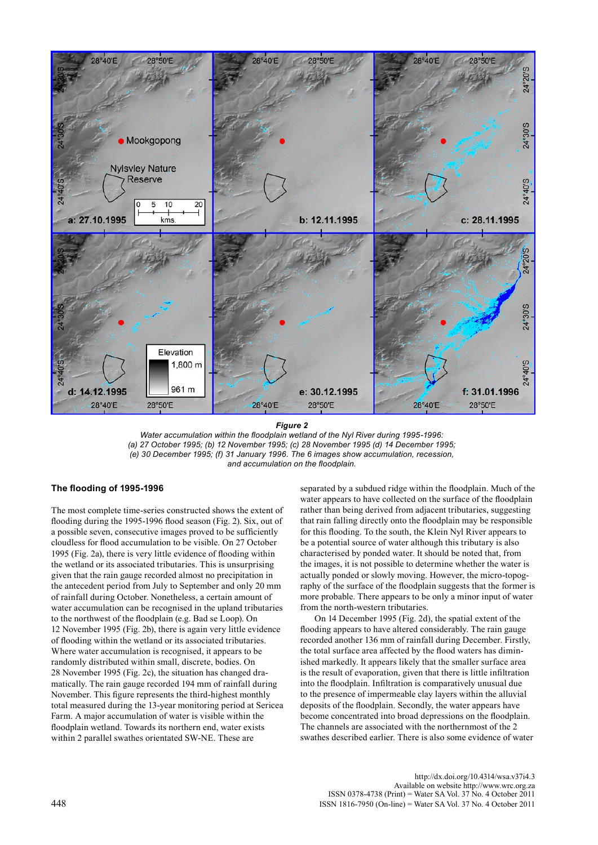

*Figure 2*

*Water accumulation within the floodplain wetland of the Nyl River during 1995-1996: (a) 27 October 1995; (b) 12 November 1995; (c) 28 November 1995 (d) 14 December 1995; (e) 30 December 1995; (f) 31 January 1996. The 6 images show accumulation, recession, and accumulation on the floodplain.*

## **The flooding of 1995-1996**

The most complete time-series constructed shows the extent of flooding during the 1995-1996 flood season (Fig. 2). Six, out of a possible seven, consecutive images proved to be sufficiently cloudless for flood accumulation to be visible. On 27 October 1995 (Fig. 2a), there is very little evidence of flooding within the wetland or its associated tributaries. This is unsurprising given that the rain gauge recorded almost no precipitation in the antecedent period from July to September and only 20 mm of rainfall during October. Nonetheless, a certain amount of water accumulation can be recognised in the upland tributaries to the northwest of the floodplain (e.g. Bad se Loop). On 12 November 1995 (Fig. 2b), there is again very little evidence of flooding within the wetland or its associated tributaries. Where water accumulation is recognised, it appears to be randomly distributed within small, discrete, bodies. On 28 November 1995 (Fig. 2c), the situation has changed dramatically. The rain gauge recorded 194 mm of rainfall during November. This figure represents the third-highest monthly total measured during the 13-year monitoring period at Sericea Farm. A major accumulation of water is visible within the floodplain wetland. Towards its northern end, water exists within 2 parallel swathes orientated SW-NE. These are

separated by a subdued ridge within the floodplain. Much of the water appears to have collected on the surface of the floodplain rather than being derived from adjacent tributaries, suggesting that rain falling directly onto the floodplain may be responsible for this flooding. To the south, the Klein Nyl River appears to be a potential source of water although this tributary is also characterised by ponded water. It should be noted that, from the images, it is not possible to determine whether the water is actually ponded or slowly moving. However, the micro-topography of the surface of the floodplain suggests that the former is more probable. There appears to be only a minor input of water from the north-western tributaries.

On 14 December 1995 (Fig. 2d), the spatial extent of the flooding appears to have altered considerably. The rain gauge recorded another 136 mm of rainfall during December. Firstly, the total surface area affected by the flood waters has diminished markedly. It appears likely that the smaller surface area is the result of evaporation, given that there is little infiltration into the floodplain. Infiltration is comparatively unusual due to the presence of impermeable clay layers within the alluvial deposits of the floodplain. Secondly, the water appears have become concentrated into broad depressions on the floodplain. The channels are associated with the northernmost of the 2 swathes described earlier. There is also some evidence of water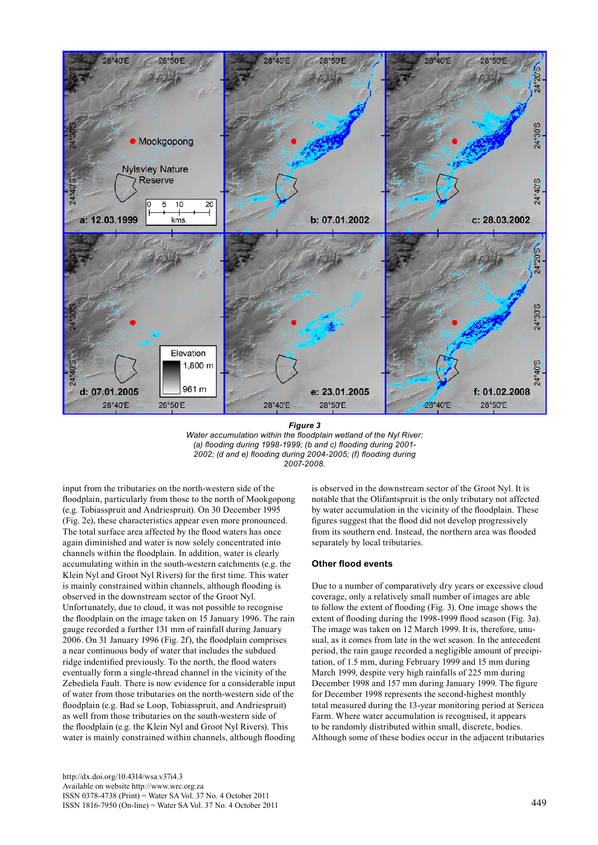

*Figure 3*

*Water accumulation within the floodplain wetland of the Nyl River: (a) flooding during 1998-1999; (b and c) flooding during 2001- 2002; (d and e) flooding during 2004-2005; (f) flooding during 2007-2008.*

input from the tributaries on the north-western side of the floodplain, particularly from those to the north of Mookgopong (e.g. Tobiasspruit and Andriespruit). On 30 December 1995 (Fig. 2e), these characteristics appear even more pronounced. The total surface area affected by the flood waters has once again diminished and water is now solely concentrated into channels within the floodplain. In addition, water is clearly accumulating within in the south-western catchments (e.g. the Klein Nyl and Groot Nyl Rivers) for the first time. This water is mainly constrained within channels, although flooding is observed in the downstream sector of the Groot Nyl. Unfortunately, due to cloud, it was not possible to recognise the floodplain on the image taken on 15 January 1996. The rain gauge recorded a further 131 mm of rainfall during January 2006. On 31 January 1996 (Fig. 2f), the floodplain comprises a near continuous body of water that includes the subdued ridge indentified previously. To the north, the flood waters eventually form a single-thread channel in the vicinity of the Zebediela Fault. There is now evidence for a considerable input of water from those tributaries on the north-western side of the floodplain (e.g. Bad se Loop, Tobiasspruit, and Andriespruit) as well from those tributaries on the south-western side of the floodplain (e.g. the Klein Nyl and Groot Nyl Rivers). This water is mainly constrained within channels, although flooding is observed in the downstream sector of the Groot Nyl. It is notable that the Olifantspruit is the only tributary not affected by water accumulation in the vicinity of the floodplain. These figures suggest that the flood did not develop progressively from its southern end. Instead, the northern area was flooded separately by local tributaries.

## **Other flood events**

Due to a number of comparatively dry years or excessive cloud coverage, only a relatively small number of images are able to follow the extent of flooding (Fig. 3). One image shows the extent of flooding during the 1998-1999 flood season (Fig. 3a). The image was taken on 12 March 1999. It is, therefore, unusual, as it comes from late in the wet season. In the antecedent period, the rain gauge recorded a negligible amount of precipitation, of 1.5 mm, during February 1999 and 15 mm during March 1999, despite very high rainfalls of 225 mm during December 1998 and 157 mm during January 1999. The figure for December 1998 represents the second-highest monthly total measured during the 13-year monitoring period at Sericea Farm. Where water accumulation is recognised, it appears to be randomly distributed within small, discrete, bodies. Although some of these bodies occur in the adjacent tributaries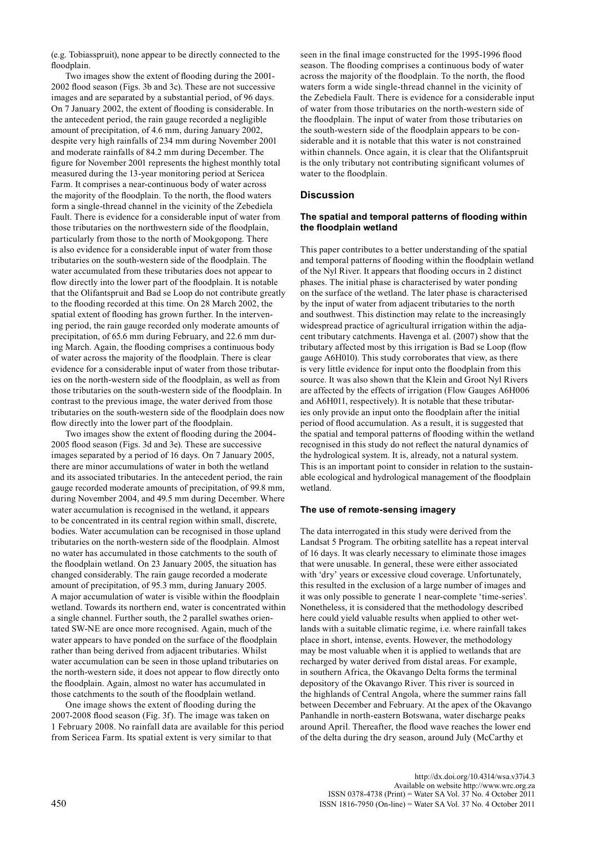(e.g. Tobiasspruit), none appear to be directly connected to the floodplain.

Two images show the extent of flooding during the 2001- 2002 flood season (Figs. 3b and 3c). These are not successive images and are separated by a substantial period, of 96 days. On 7 January 2002, the extent of flooding is considerable. In the antecedent period, the rain gauge recorded a negligible amount of precipitation, of 4.6 mm, during January 2002, despite very high rainfalls of 234 mm during November 2001 and moderate rainfalls of 84.2 mm during December. The figure for November 2001 represents the highest monthly total measured during the 13-year monitoring period at Sericea Farm. It comprises a near-continuous body of water across the majority of the floodplain. To the north, the flood waters form a single-thread channel in the vicinity of the Zebediela Fault. There is evidence for a considerable input of water from those tributaries on the northwestern side of the floodplain, particularly from those to the north of Mookgopong. There is also evidence for a considerable input of water from those tributaries on the south-western side of the floodplain. The water accumulated from these tributaries does not appear to flow directly into the lower part of the floodplain. It is notable that the Olifantspruit and Bad se Loop do not contribute greatly to the flooding recorded at this time. On 28 March 2002, the spatial extent of flooding has grown further. In the intervening period, the rain gauge recorded only moderate amounts of precipitation, of 65.6 mm during February, and 22.6 mm during March. Again, the flooding comprises a continuous body of water across the majority of the floodplain. There is clear evidence for a considerable input of water from those tributaries on the north-western side of the floodplain, as well as from those tributaries on the south-western side of the floodplain. In contrast to the previous image, the water derived from those tributaries on the south-western side of the floodplain does now flow directly into the lower part of the floodplain.

Two images show the extent of flooding during the 2004- 2005 flood season (Figs. 3d and 3e). These are successive images separated by a period of 16 days. On 7 January 2005, there are minor accumulations of water in both the wetland and its associated tributaries. In the antecedent period, the rain gauge recorded moderate amounts of precipitation, of 99.8 mm, during November 2004, and 49.5 mm during December. Where water accumulation is recognised in the wetland, it appears to be concentrated in its central region within small, discrete, bodies. Water accumulation can be recognised in those upland tributaries on the north-western side of the floodplain. Almost no water has accumulated in those catchments to the south of the floodplain wetland. On 23 January 2005, the situation has changed considerably. The rain gauge recorded a moderate amount of precipitation, of 95.3 mm, during January 2005. A major accumulation of water is visible within the floodplain wetland. Towards its northern end, water is concentrated within a single channel. Further south, the 2 parallel swathes orientated SW-NE are once more recognised. Again, much of the water appears to have ponded on the surface of the floodplain rather than being derived from adjacent tributaries. Whilst water accumulation can be seen in those upland tributaries on the north-western side, it does not appear to flow directly onto the floodplain. Again, almost no water has accumulated in those catchments to the south of the floodplain wetland.

One image shows the extent of flooding during the 2007-2008 flood season (Fig. 3f). The image was taken on 1 February 2008. No rainfall data are available for this period from Sericea Farm. Its spatial extent is very similar to that

seen in the final image constructed for the 1995-1996 flood season. The flooding comprises a continuous body of water across the majority of the floodplain. To the north, the flood waters form a wide single-thread channel in the vicinity of the Zebediela Fault. There is evidence for a considerable input of water from those tributaries on the north-western side of the floodplain. The input of water from those tributaries on the south-western side of the floodplain appears to be considerable and it is notable that this water is not constrained within channels. Once again, it is clear that the Olifantspruit is the only tributary not contributing significant volumes of water to the floodplain.

## **Discussion**

## **The spatial and temporal patterns of flooding within the floodplain wetland**

This paper contributes to a better understanding of the spatial and temporal patterns of flooding within the floodplain wetland of the Nyl River. It appears that flooding occurs in 2 distinct phases. The initial phase is characterised by water ponding on the surface of the wetland. The later phase is characterised by the input of water from adjacent tributaries to the north and southwest. This distinction may relate to the increasingly widespread practice of agricultural irrigation within the adjacent tributary catchments. Havenga et al. (2007) show that the tributary affected most by this irrigation is Bad se Loop (flow gauge A6H010). This study corroborates that view, as there is very little evidence for input onto the floodplain from this source. It was also shown that the Klein and Groot Nyl Rivers are affected by the effects of irrigation (Flow Gauges A6H006 and A6H011, respectively). It is notable that these tributaries only provide an input onto the floodplain after the initial period of flood accumulation. As a result, it is suggested that the spatial and temporal patterns of flooding within the wetland recognised in this study do not reflect the natural dynamics of the hydrological system. It is, already, not a natural system. This is an important point to consider in relation to the sustainable ecological and hydrological management of the floodplain wetland.

### **The use of remote-sensing imagery**

The data interrogated in this study were derived from the Landsat 5 Program. The orbiting satellite has a repeat interval of 16 days. It was clearly necessary to eliminate those images that were unusable. In general, these were either associated with 'dry' years or excessive cloud coverage. Unfortunately, this resulted in the exclusion of a large number of images and it was only possible to generate 1 near-complete 'time-series'. Nonetheless, it is considered that the methodology described here could yield valuable results when applied to other wetlands with a suitable climatic regime, i.e. where rainfall takes place in short, intense, events. However, the methodology may be most valuable when it is applied to wetlands that are recharged by water derived from distal areas. For example, in southern Africa, the Okavango Delta forms the terminal depository of the Okavango River. This river is sourced in the highlands of Central Angola, where the summer rains fall between December and February. At the apex of the Okavango Panhandle in north-eastern Botswana, water discharge peaks around April. Thereafter, the flood wave reaches the lower end of the delta during the dry season, around July (McCarthy et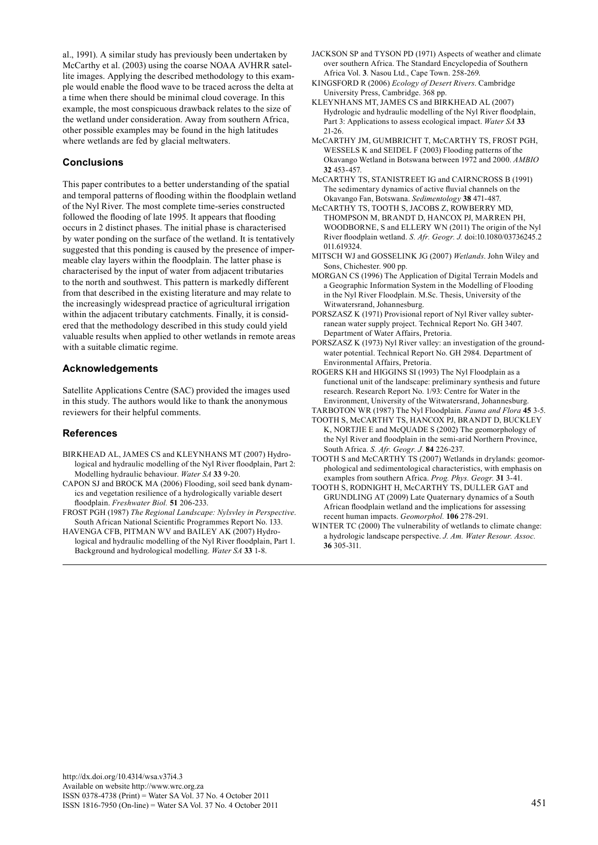al., 1991). A similar study has previously been undertaken by McCarthy et al. (2003) using the coarse NOAA AVHRR satellite images. Applying the described methodology to this example would enable the flood wave to be traced across the delta at a time when there should be minimal cloud coverage. In this example, the most conspicuous drawback relates to the size of the wetland under consideration. Away from southern Africa, other possible examples may be found in the high latitudes where wetlands are fed by glacial meltwaters.

## **Conclusions**

This paper contributes to a better understanding of the spatial and temporal patterns of flooding within the floodplain wetland of the Nyl River. The most complete time-series constructed followed the flooding of late 1995. It appears that flooding occurs in 2 distinct phases. The initial phase is characterised by water ponding on the surface of the wetland. It is tentatively suggested that this ponding is caused by the presence of impermeable clay layers within the floodplain. The latter phase is characterised by the input of water from adjacent tributaries to the north and southwest. This pattern is markedly different from that described in the existing literature and may relate to the increasingly widespread practice of agricultural irrigation within the adjacent tributary catchments. Finally, it is considered that the methodology described in this study could yield valuable results when applied to other wetlands in remote areas with a suitable climatic regime.

# **Acknowledgements**

Satellite Applications Centre (SAC) provided the images used in this study. The authors would like to thank the anonymous reviewers for their helpful comments.

## **References**

- Birkhead AL, James CS and Kleynhans MT (2007) Hydrological and hydraulic modelling of the Nyl River floodplain, Part 2: Modelling hydraulic behaviour. *Water SA* **33** 9-20.
- Capon SJ and Brock MA (2006) Flooding, soil seed bank dynamics and vegetation resilience of a hydrologically variable desert floodplain. *Freshwater Biol.* **51** 206-233.
- Frost PGH (1987) *The Regional Landscape: Nylsvley in Perspective*. South African National Scientific Programmes Report No. 133.
- Havenga CFB, Pitman WV and Bailey AK (2007) Hydrological and hydraulic modelling of the Nyl River floodplain, Part 1. Background and hydrological modelling. *Water SA* **33** 1-8.
- Jackson SP and Tyson PD (1971) Aspects of weather and climate over southern Africa. The Standard Encyclopedia of Southern Africa Vol. **3**. Nasou Ltd., Cape Town. 258-269.
- Kingsford R (2006) *Ecology of Desert Rivers*. Cambridge University Press, Cambridge. 368 pp.
- Kleynhans MT, James CS and Birkhead AL (2007) Hydrologic and hydraulic modelling of the Nyl River floodplain, Part 3: Applications to assess ecological impact. *Water SA* **33** 21-26.
- McCarthy JM, Gumbricht T, McCarthy TS, Frost PGH, WESSELS K and SEIDEL F (2003) Flooding patterns of the Okavango Wetland in Botswana between 1972 and 2000. *AMBIO* **32** 453-457.

McCarthy TS, Stanistreet IG and Cairncross B (1991) The sedimentary dynamics of active fluvial channels on the Okavango Fan, Botswana. *Sedimentology* **38** 471-487.

- McCarthy TS, Tooth S, Jacobs Z, Rowberry MD, Thompson M, Brandt D, Hancox PJ, Marren PH, WOODBORNE, S and ELLERY WN (2011) The origin of the Nyl River floodplain wetland. *S. Afr. Geogr. J.* doi:10.1080/03736245.2 011.619324.
- Mitsch WJ and Gosselink JG (2007) *Wetlands*. John Wiley and Sons, Chichester. 900 pp.
- MORGAN CS (1996) The Application of Digital Terrain Models and a Geographic Information System in the Modelling of Flooding in the Nyl River Floodplain. M.Sc. Thesis, University of the Witwatersrand, Johannesburg.

PORSZASZ K (1971) Provisional report of Nyl River valley subterranean water supply project. Technical Report No. GH 3407. Department of Water Affairs, Pretoria.

PORSZASZ K (1973) Nyl River valley: an investigation of the groundwater potential. Technical Report No. GH 2984. Department of Environmental Affairs, Pretoria.

Rogers KH and Higgins SI (1993) The Nyl Floodplain as a functional unit of the landscape: preliminary synthesis and future research. Research Report No. 1/93: Centre for Water in the Environment, University of the Witwatersrand, Johannesburg.

TARBOTON WR (1987) The Nyl Floodplain. *Fauna and Flora* 45<sup>3</sup>-5.

- Tooth S, McCarthy TS, Hancox PJ, Brandt D, Buckley K, NORTJIE E and McQUADE S (2002) The geomorphology of the Nyl River and floodplain in the semi-arid Northern Province, South Africa. *S. Afr. Geogr. J.* **84** 226-237.
- TOOTH S and McCARTHY TS (2007) Wetlands in drylands: geomorphological and sedimentological characteristics, with emphasis on examples from southern Africa. *Prog. Phys. Geogr.* **31** 3-41.
- Tooth S, Rodnight H, McCarthy TS, Duller GAT and GRUNDLING AT (2009) Late Quaternary dynamics of a South African floodplain wetland and the implications for assessing recent human impacts. *Geomorphol.* **106** 278-291.
- WINTER TC (2000) The vulnerability of wetlands to climate change: a hydrologic landscape perspective. *J. Am. Water Resour. Assoc.* **36** 305-311.